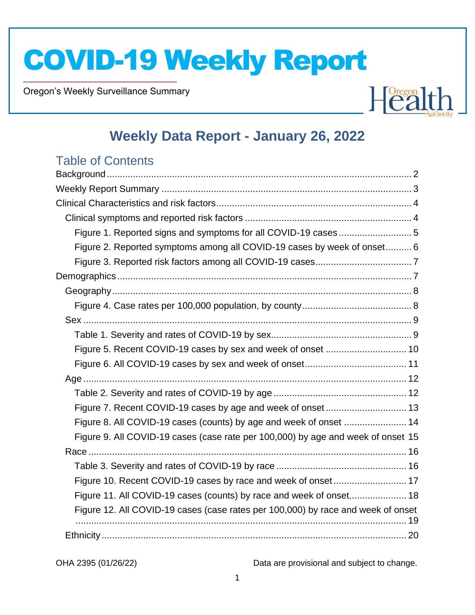Oregon's Weekly Surveillance Summary

Novel Coronavirus (COVID-19)



### **Weekly Data Report - January 26, 2022**

### Table of Contents

| Figure 1. Reported signs and symptoms for all COVID-19 cases5                    |  |
|----------------------------------------------------------------------------------|--|
| Figure 2. Reported symptoms among all COVID-19 cases by week of onset 6          |  |
|                                                                                  |  |
|                                                                                  |  |
|                                                                                  |  |
|                                                                                  |  |
|                                                                                  |  |
|                                                                                  |  |
|                                                                                  |  |
|                                                                                  |  |
|                                                                                  |  |
|                                                                                  |  |
|                                                                                  |  |
| Figure 8. All COVID-19 cases (counts) by age and week of onset  14               |  |
| Figure 9. All COVID-19 cases (case rate per 100,000) by age and week of onset 15 |  |
|                                                                                  |  |
|                                                                                  |  |
| Figure 10. Recent COVID-19 cases by race and week of onset 17                    |  |
| Figure 11. All COVID-19 cases (counts) by race and week of onset 18              |  |
| Figure 12. All COVID-19 cases (case rates per 100,000) by race and week of onset |  |
|                                                                                  |  |
|                                                                                  |  |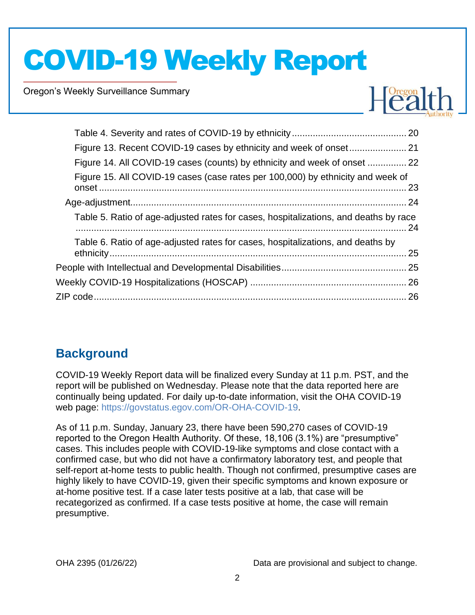Oregon's Weekly Surveillance Summary

Novel Coronavirus (COVID-19)



| Figure 14. All COVID-19 cases (counts) by ethnicity and week of onset  22            |  |
|--------------------------------------------------------------------------------------|--|
| Figure 15. All COVID-19 cases (case rates per 100,000) by ethnicity and week of      |  |
|                                                                                      |  |
| Table 5. Ratio of age-adjusted rates for cases, hospitalizations, and deaths by race |  |
| Table 6. Ratio of age-adjusted rates for cases, hospitalizations, and deaths by      |  |
|                                                                                      |  |
|                                                                                      |  |
|                                                                                      |  |
|                                                                                      |  |

### **Background**

COVID-19 Weekly Report data will be finalized every Sunday at 11 p.m. PST, and the report will be published on Wednesday. Please note that the data reported here are continually being updated. For daily up-to-date information, visit the OHA COVID-19 web page: https://govstatus.egov.com/OR-OHA-COVID-19.

As of 11 p.m. Sunday, January 23, there have been 590,270 cases of COVID-19 reported to the Oregon Health Authority. Of these, 18,106 (3.1%) are "presumptive" cases. This includes people with COVID-19-like symptoms and close contact with a confirmed case, but who did not have a confirmatory laboratory test, and people that self-report at-home tests to public health. Though not confirmed, presumptive cases are highly likely to have COVID-19, given their specific symptoms and known exposure or at-home positive test. If a case later tests positive at a lab, that case will be recategorized as confirmed. If a case tests positive at home, the case will remain presumptive.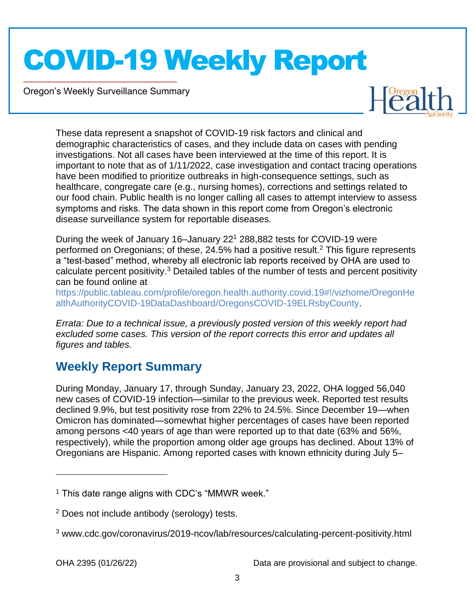Oregon's Weekly Surveillance Summary

Novel Coronavirus (COVID-19)



These data represent a snapshot of COVID-19 risk factors and clinical and demographic characteristics of cases, and they include data on cases with pending investigations. Not all cases have been interviewed at the time of this report. It is important to note that as of 1/11/2022, case investigation and contact tracing operations have been modified to prioritize outbreaks in high-consequence settings, such as healthcare, congregate care (e.g., nursing homes), corrections and settings related to our food chain. Public health is no longer calling all cases to attempt interview to assess symptoms and risks. The data shown in this report come from Oregon's electronic disease surveillance system for reportable diseases.

During the week of January 16–January 22<sup>1</sup> 288,882 tests for COVID-19 were performed on Oregonians; of these,  $24.5\%$  had a positive result.<sup>2</sup> This figure represents a "test-based" method, whereby all electronic lab reports received by OHA are used to calculate percent positivity.<sup>3</sup> Detailed tables of the number of tests and percent positivity can be found online at

https://public.tableau.com/profile/oregon.health.authority.covid.19#!/vizhome/OregonHe althAuthorityCOVID-19DataDashboard/OregonsCOVID-19ELRsbyCounty.

*Errata: Due to a technical issue, a previously posted version of this weekly report had excluded some cases. This version of the report corrects this error and updates all figures and tables.*

### **Weekly Report Summary**

During Monday, January 17, through Sunday, January 23, 2022, OHA logged 56,040 new cases of COVID-19 infection—similar to the previous week. Reported test results declined 9.9%, but test positivity rose from 22% to 24.5%. Since December 19—when Omicron has dominated—somewhat higher percentages of cases have been reported among persons <40 years of age than were reported up to that date (63% and 56%, respectively), while the proportion among older age groups has declined. About 13% of Oregonians are Hispanic. Among reported cases with known ethnicity during July 5–

 $<sup>1</sup>$  This date range aligns with CDC's "MMWR week."</sup>

<sup>2</sup> Does not include antibody (serology) tests.

<sup>3</sup> www.cdc.gov/coronavirus/2019-ncov/lab/resources/calculating-percent-positivity.html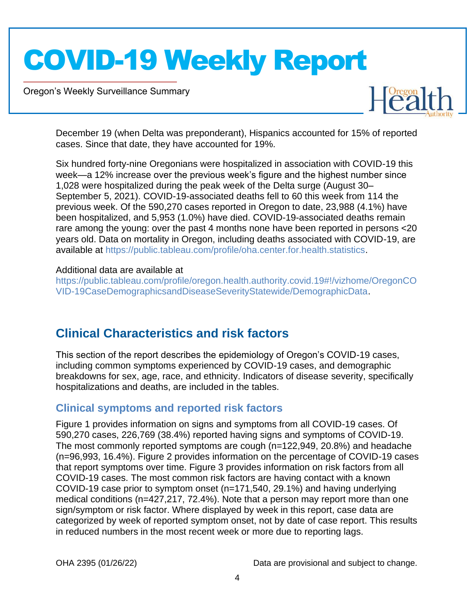Oregon's Weekly Surveillance Summary

Novel Coronavirus (COVID-19)



December 19 (when Delta was preponderant), Hispanics accounted for 15% of reported cases. Since that date, they have accounted for 19%.

Six hundred forty-nine Oregonians were hospitalized in association with COVID-19 this week—a 12% increase over the previous week's figure and the highest number since 1,028 were hospitalized during the peak week of the Delta surge (August 30– September 5, 2021). COVID-19-associated deaths fell to 60 this week from 114 the previous week. Of the 590,270 cases reported in Oregon to date, 23,988 (4.1%) have been hospitalized, and 5,953 (1.0%) have died. COVID-19-associated deaths remain rare among the young: over the past 4 months none have been reported in persons <20 years old. Data on mortality in Oregon, including deaths associated with COVID-19, are available at https://public.tableau.com/profile/oha.center.for.health.statistics.

#### Additional data are available at

https://public.tableau.com/profile/oregon.health.authority.covid.19#!/vizhome/OregonCO VID-19CaseDemographicsandDiseaseSeverityStatewide/DemographicData.

### **Clinical Characteristics and risk factors**

This section of the report describes the epidemiology of Oregon's COVID-19 cases, including common symptoms experienced by COVID-19 cases, and demographic breakdowns for sex, age, race, and ethnicity. Indicators of disease severity, specifically hospitalizations and deaths, are included in the tables.

#### **Clinical symptoms and reported risk factors**

Figure 1 provides information on signs and symptoms from all COVID-19 cases. Of 590,270 cases, 226,769 (38.4%) reported having signs and symptoms of COVID-19. The most commonly reported symptoms are cough (n=122,949, 20.8%) and headache (n=96,993, 16.4%). Figure 2 provides information on the percentage of COVID-19 cases that report symptoms over time. Figure 3 provides information on risk factors from all COVID-19 cases. The most common risk factors are having contact with a known COVID-19 case prior to symptom onset (n=171,540, 29.1%) and having underlying medical conditions (n=427,217, 72.4%). Note that a person may report more than one sign/symptom or risk factor. Where displayed by week in this report, case data are categorized by week of reported symptom onset, not by date of case report. This results in reduced numbers in the most recent week or more due to reporting lags.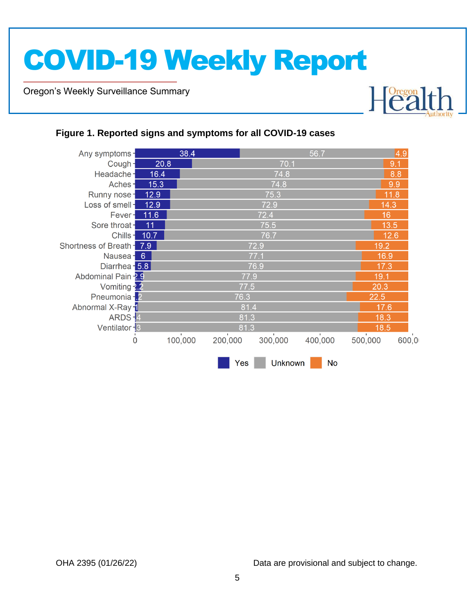Oregon's Weekly Surveillance Summary

Novel Coronavirus (COVID-19)



#### **Figure 1. Reported signs and symptoms for all COVID-19 cases**

| Any symptoms-             |      | 38.4                     |                | 56.7    |               | 4.9   |  |
|---------------------------|------|--------------------------|----------------|---------|---------------|-------|--|
| Cough-                    | 20.8 |                          | 70.1           |         | 9.1           |       |  |
| Headache-                 | 16.4 |                          | 74.8           |         | 8.8           |       |  |
| Aches-                    | 15.3 |                          | 74.8           |         | 9.9           |       |  |
| Runny nose-               | 12.9 |                          | 75.3           |         | 11.8          |       |  |
| Loss of smell-            | 12.9 |                          | 72.9           |         | 14.3          |       |  |
| Fever-                    | 11.6 |                          | 72.4           |         | 16            |       |  |
| Sore throat-              | 11   |                          | 75.5           |         | 13.5          |       |  |
| Chills-                   | 10.7 |                          | 76.7           |         | 12.6          |       |  |
| Shortness of Breath - 7.9 |      |                          | 72.9           |         |               |       |  |
| Nausea <sup>-</sup> 6     | 16.9 |                          | 77.1           |         |               |       |  |
| Diarrhea - 5.8            |      |                          | 76.9           |         |               |       |  |
| Abdominal Pain -2.9       |      |                          | 77.9           |         | 19.1          |       |  |
| Vomiting - 2.2            |      |                          | 77.5           |         | 20.3          |       |  |
| Pneumonia - 2             |      |                          | 76.3           |         | 22.5          |       |  |
| Abnormal X-Ray 1          |      |                          | 81.4           |         | 17.6          |       |  |
| ARDS-4                    |      |                          | 81.3           |         |               |       |  |
| Ventilator - 3            |      |                          | 81.3           |         | 18.5          |       |  |
| $\Omega$                  |      | L.<br>100,000<br>200,000 | ٠<br>300,000   | 400,000 | п.<br>500,000 | 600,0 |  |
|                           |      |                          | Yes<br>Unknown | No.     |               |       |  |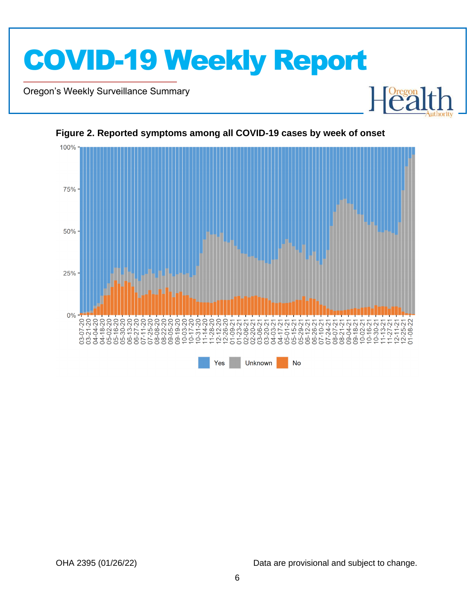

Oregon's Weekly Surveillance Summary

Novel Coronavirus (COVID-19)



**Figure 2. Reported symptoms among all COVID-19 cases by week of onset**

OHA 2395 (01/26/22) Data are provisional and subject to change.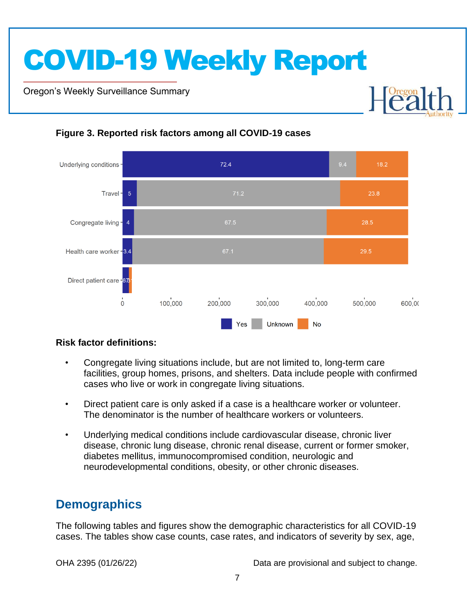Oregon's Weekly Surveillance Summary

Novel Coronavirus (COVID-19)



#### **Figure 3. Reported risk factors among all COVID-19 cases**

#### **Risk factor definitions:**

- Congregate living situations include, but are not limited to, long-term care facilities, group homes, prisons, and shelters. Data include people with confirmed cases who live or work in congregate living situations.
- Direct patient care is only asked if a case is a healthcare worker or volunteer. The denominator is the number of healthcare workers or volunteers.
- Underlying medical conditions include cardiovascular disease, chronic liver disease, chronic lung disease, chronic renal disease, current or former smoker, diabetes mellitus, immunocompromised condition, neurologic and neurodevelopmental conditions, obesity, or other chronic diseases.

### **Demographics**

The following tables and figures show the demographic characteristics for all COVID-19 cases. The tables show case counts, case rates, and indicators of severity by sex, age,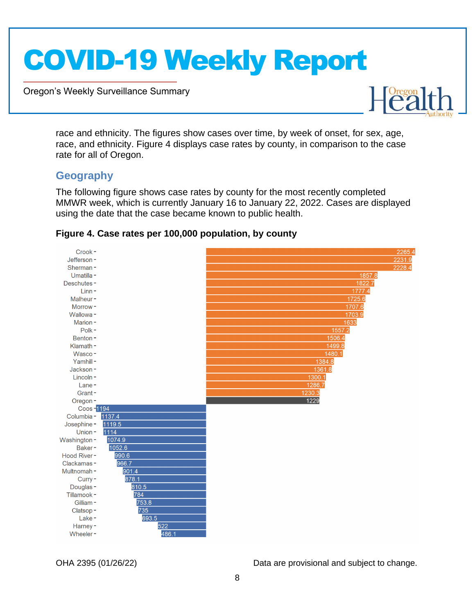Oregon's Weekly Surveillance Summary



race and ethnicity. The figures show cases over time, by week of onset, for sex, age, race, and ethnicity. Figure 4 displays case rates by county, in comparison to the case rate for all of Oregon.

#### **Geography**

Novel Coronavirus (COVID-19)

The following figure shows case rates by county for the most recently completed MMWR week, which is currently January 16 to January 22, 2022. Cases are displayed using the date that the case became known to public health.



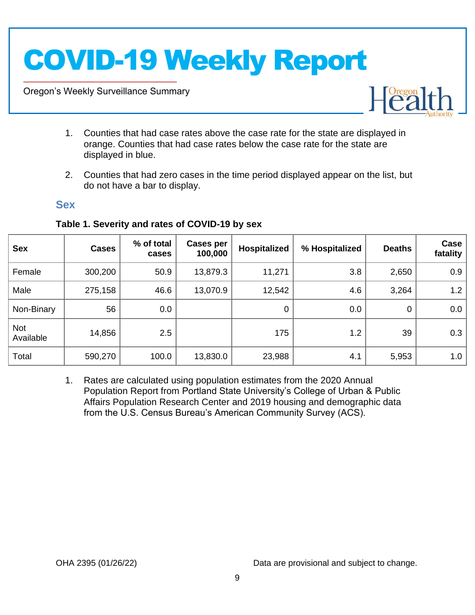Oregon's Weekly Surveillance Summary

Novel Coronavirus (COVID-19)



- 1. Counties that had case rates above the case rate for the state are displayed in orange. Counties that had case rates below the case rate for the state are displayed in blue.
- 2. Counties that had zero cases in the time period displayed appear on the list, but do not have a bar to display.

#### **Sex**

| <b>Sex</b>              | <b>Cases</b> | % of total<br>cases | Cases per<br>100,000 | Hospitalized | % Hospitalized | <b>Deaths</b> | Case<br>fatality |
|-------------------------|--------------|---------------------|----------------------|--------------|----------------|---------------|------------------|
| Female                  | 300,200      | 50.9                | 13,879.3             | 11,271       | 3.8            | 2,650         | 0.9              |
| Male                    | 275,158      | 46.6                | 13,070.9             | 12,542       | 4.6            | 3,264         | 1.2              |
| Non-Binary              | 56           | 0.0                 |                      | 0            | 0.0            | $\mathbf 0$   | 0.0              |
| <b>Not</b><br>Available | 14,856       | 2.5                 |                      | 175          | 1.2            | 39            | 0.3              |
| Total                   | 590,270      | 100.0               | 13,830.0             | 23,988       | 4.1            | 5,953         | 1.0              |

#### **Table 1. Severity and rates of COVID-19 by sex**

1. Rates are calculated using population estimates from the 2020 Annual Population Report from Portland State University's College of Urban & Public Affairs Population Research Center and 2019 housing and demographic data from the U.S. Census Bureau's American Community Survey (ACS).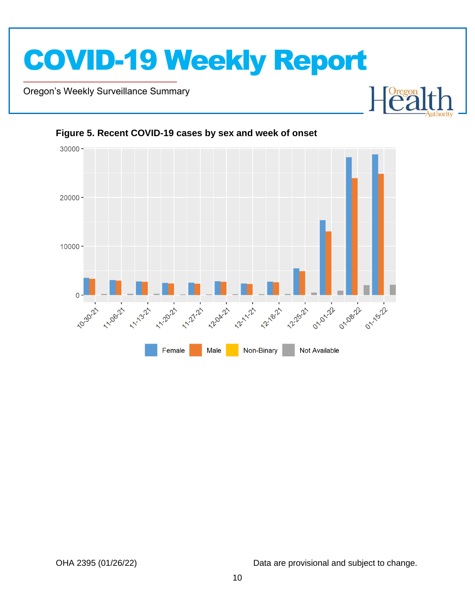

Oregon's Weekly Surveillance Summary

Novel Coronavirus (COVID-19)



Non-Binary

Not Available

#### **Figure 5. Recent COVID-19 cases by sex and week of onset**

Female

Male

OHA 2395 (01/26/22) Data are provisional and subject to change.

Dregon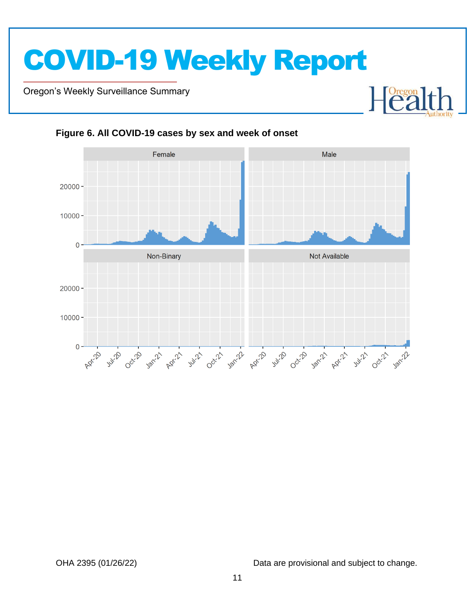Oregon's Weekly Surveillance Summary

Novel Coronavirus (COVID-19)



#### **Figure 6. All COVID-19 cases by sex and week of onset**

OHA 2395 (01/26/22) Data are provisional and subject to change.

 $\mathbf{H}$ 

 $\begin{bmatrix} \text{Oregon} \\ \text{C2} \end{bmatrix}$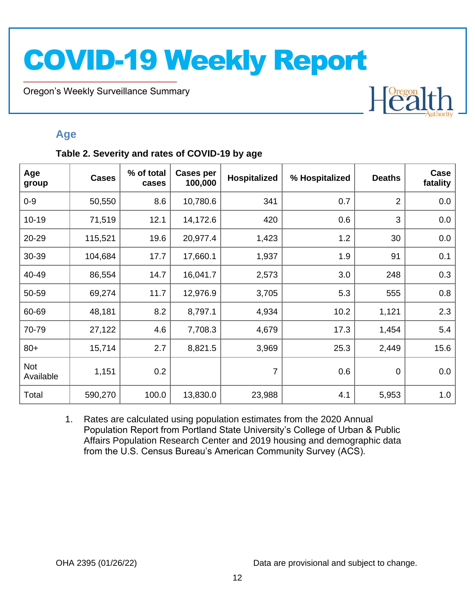Oregon's Weekly Surveillance Summary

Novel Coronavirus (COVID-19)

## Heal

#### **Age**

#### **Table 2. Severity and rates of COVID-19 by age**

| Age<br>group     | <b>Cases</b> | % of total<br>cases | <b>Cases per</b><br>100,000 | <b>Hospitalized</b> | % Hospitalized | <b>Deaths</b>  | Case<br>fatality |
|------------------|--------------|---------------------|-----------------------------|---------------------|----------------|----------------|------------------|
| $0-9$            | 50,550       | 8.6                 | 10,780.6                    | 341                 | 0.7            | $\overline{2}$ | 0.0              |
| $10 - 19$        | 71,519       | 12.1                | 14,172.6                    | 420                 | 0.6            | 3              | 0.0              |
| 20-29            | 115,521      | 19.6                | 20,977.4                    | 1,423               | 1.2            | 30             | 0.0              |
| 30-39            | 104,684      | 17.7                | 17,660.1                    | 1,937               | 1.9            | 91             | 0.1              |
| 40-49            | 86,554       | 14.7                | 16,041.7                    | 2,573               | 3.0            | 248            | 0.3              |
| 50-59            | 69,274       | 11.7                | 12,976.9                    | 3,705               | 5.3            | 555            | 0.8              |
| 60-69            | 48,181       | 8.2                 | 8,797.1                     | 4,934               | 10.2           | 1,121          | 2.3              |
| 70-79            | 27,122       | 4.6                 | 7,708.3                     | 4,679               | 17.3           | 1,454          | 5.4              |
| $80+$            | 15,714       | 2.7                 | 8,821.5                     | 3,969               | 25.3           | 2,449          | 15.6             |
| Not<br>Available | 1,151        | 0.2                 |                             | 7                   | 0.6            | $\mathbf 0$    | 0.0              |
| Total            | 590,270      | 100.0               | 13,830.0                    | 23,988              | 4.1            | 5,953          | 1.0              |

1. Rates are calculated using population estimates from the 2020 Annual Population Report from Portland State University's College of Urban & Public Affairs Population Research Center and 2019 housing and demographic data from the U.S. Census Bureau's American Community Survey (ACS).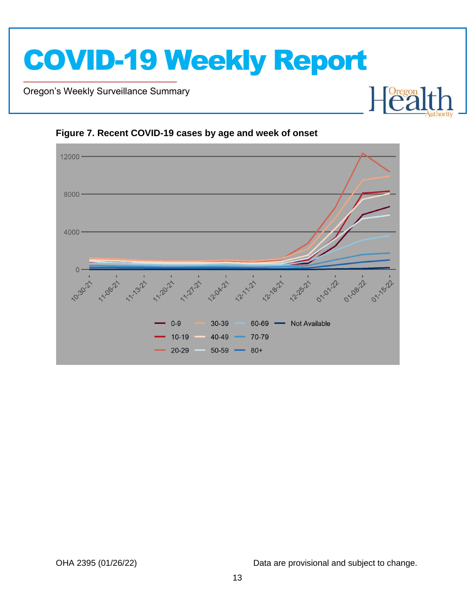Oregon's Weekly Surveillance Summary

Novel Coronavirus (COVID-19)



**Figure 7. Recent COVID-19 cases by age and week of onset**

OHA 2395 (01/26/22) Data are provisional and subject to change.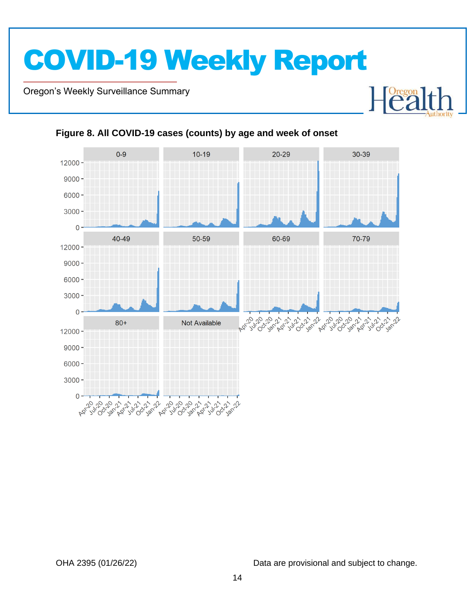Oregon's Weekly Surveillance Summary

Novel Coronavirus (COVID-19)



#### **Figure 8. All COVID-19 cases (counts) by age and week of onset**

OHA 2395 (01/26/22) Data are provisional and subject to change.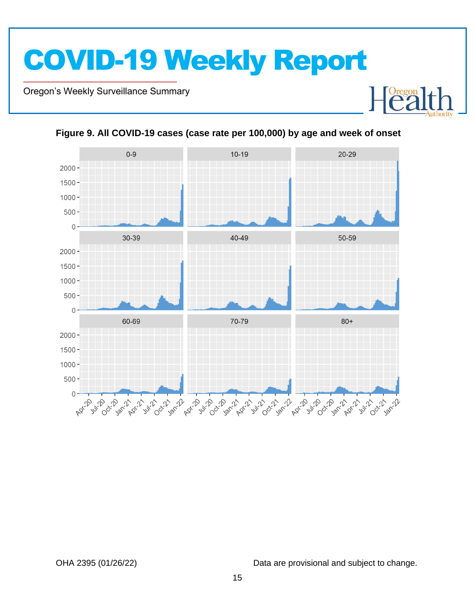Oregon's Weekly Surveillance Summary

Novel Coronavirus (COVID-19)



**Figure 9. All COVID-19 cases (case rate per 100,000) by age and week of onset**

OHA 2395 (01/26/22) Data are provisional and subject to change.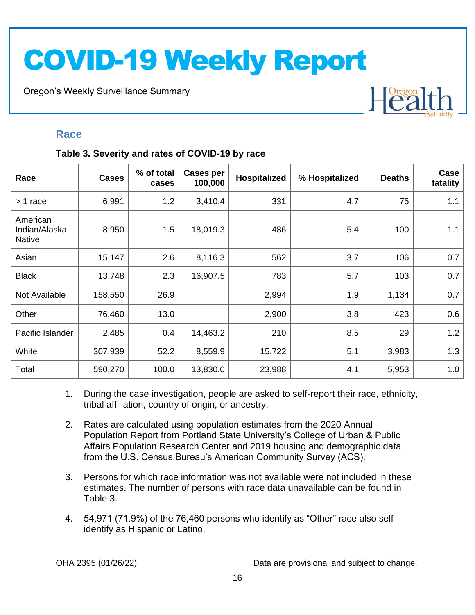Oregon's Weekly Surveillance Summary

### Heal

#### **Race**

Novel Coronavirus (COVID-19)

#### **Table 3. Severity and rates of COVID-19 by race**

| Race                                       | <b>Cases</b> | % of total<br>cases | <b>Cases per</b><br>100,000 | Hospitalized | % Hospitalized | <b>Deaths</b> | Case<br>fatality |
|--------------------------------------------|--------------|---------------------|-----------------------------|--------------|----------------|---------------|------------------|
| > 1 race                                   | 6,991        | 1.2                 | 3,410.4                     | 331          | 4.7            | 75            | 1.1              |
| American<br>Indian/Alaska<br><b>Native</b> | 8,950        | 1.5                 | 18,019.3                    | 486          | 5.4            | 100           | 1.1              |
| Asian                                      | 15,147       | 2.6                 | 8,116.3                     | 562          | 3.7            | 106           | 0.7              |
| <b>Black</b>                               | 13,748       | 2.3                 | 16,907.5                    | 783          | 5.7            | 103           | 0.7              |
| Not Available                              | 158,550      | 26.9                |                             | 2,994        | 1.9            | 1,134         | 0.7              |
| Other                                      | 76,460       | 13.0                |                             | 2,900        | 3.8            | 423           | 0.6              |
| Pacific Islander                           | 2,485        | 0.4                 | 14,463.2                    | 210          | 8.5            | 29            | 1.2              |
| White                                      | 307,939      | 52.2                | 8,559.9                     | 15,722       | 5.1            | 3,983         | 1.3              |
| Total                                      | 590,270      | 100.0               | 13,830.0                    | 23,988       | 4.1            | 5,953         | 1.0              |

- 1. During the case investigation, people are asked to self-report their race, ethnicity, tribal affiliation, country of origin, or ancestry.
- 2. Rates are calculated using population estimates from the 2020 Annual Population Report from Portland State University's College of Urban & Public Affairs Population Research Center and 2019 housing and demographic data from the U.S. Census Bureau's American Community Survey (ACS).
- 3. Persons for which race information was not available were not included in these estimates. The number of persons with race data unavailable can be found in Table 3.
- 4. 54,971 (71.9%) of the 76,460 persons who identify as "Other" race also selfidentify as Hispanic or Latino.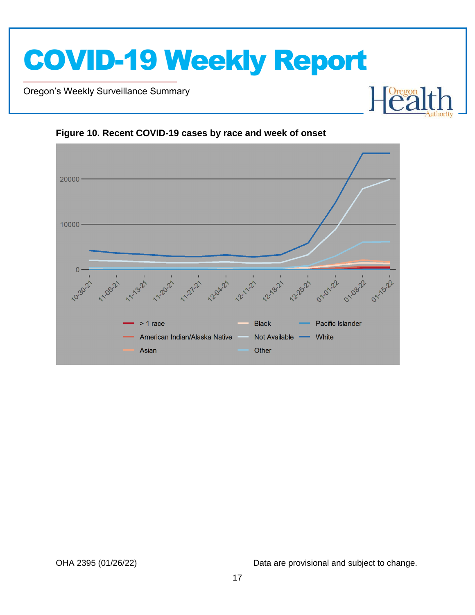Oregon's Weekly Surveillance Summary

Novel Coronavirus (COVID-19)



Not Available

Other

White



American Indian/Alaska Native

Asian

OHA 2395 (01/26/22) Data are provisional and subject to change.

Foregon

┠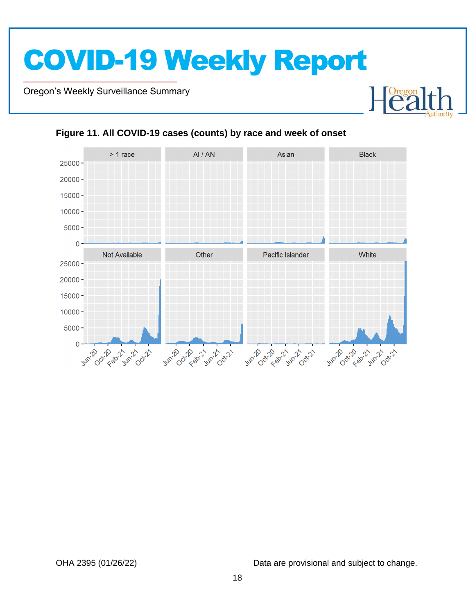Oregon's Weekly Surveillance Summary

Novel Coronavirus (COVID-19)



#### **Figure 11. All COVID-19 cases (counts) by race and week of onset**

OHA 2395 (01/26/22) Data are provisional and subject to change.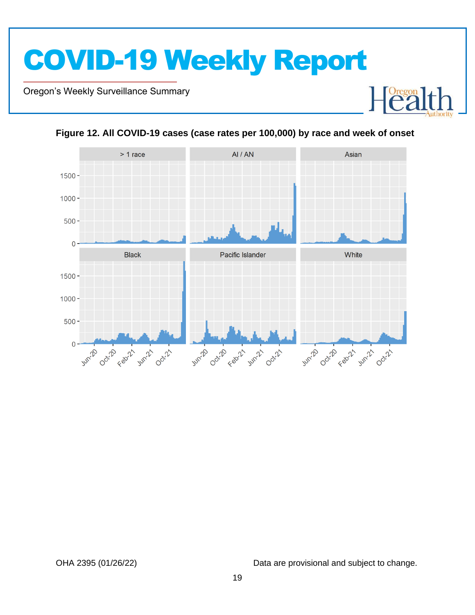Oregon's Weekly Surveillance Summary

Novel Coronavirus (COVID-19)





#### **Figure 12. All COVID-19 cases (case rates per 100,000) by race and week of onset**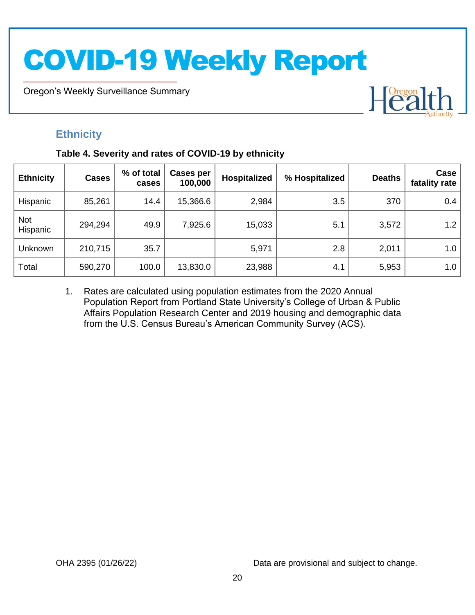Oregon's Weekly Surveillance Summary

# Heal

### **Ethnicity**

Novel Coronavirus (COVID-19)

#### **Table 4. Severity and rates of COVID-19 by ethnicity**

| <b>Ethnicity</b>       | <b>Cases</b> | % of total<br>cases | <b>Cases per</b><br>100,000 | <b>Hospitalized</b> | % Hospitalized | <b>Deaths</b> | Case<br>fatality rate |
|------------------------|--------------|---------------------|-----------------------------|---------------------|----------------|---------------|-----------------------|
| Hispanic               | 85,261       | 14.4                | 15,366.6                    | 2,984               | 3.5            | 370           | 0.4                   |
| <b>Not</b><br>Hispanic | 294,294      | 49.9                | 7,925.6                     | 15,033              | 5.1            | 3,572         | 1.2                   |
| Unknown                | 210,715      | 35.7                |                             | 5,971               | 2.8            | 2,011         | 1.0                   |
| Total                  | 590,270      | 100.0               | 13,830.0                    | 23,988              | 4.1            | 5,953         | 1.0                   |

1. Rates are calculated using population estimates from the 2020 Annual Population Report from Portland State University's College of Urban & Public Affairs Population Research Center and 2019 housing and demographic data from the U.S. Census Bureau's American Community Survey (ACS).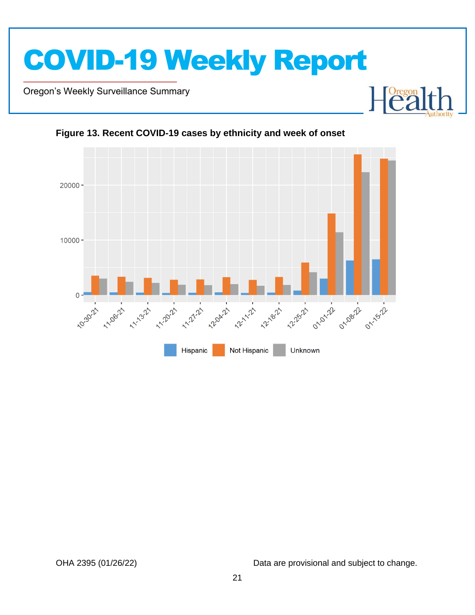

Oregon's Weekly Surveillance Summary

Novel Coronavirus (COVID-19)



Not Hispanic

Unknown

**Figure 13. Recent COVID-19 cases by ethnicity and week of onset**

Hispanic

OHA 2395 (01/26/22) Data are provisional and subject to change.

Dregon<br>
e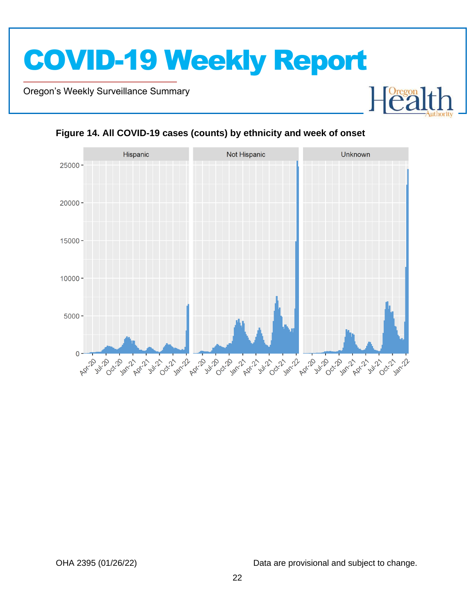Oregon's Weekly Surveillance Summary

Novel Coronavirus (COVID-19)



#### **Figure 14. All COVID-19 cases (counts) by ethnicity and week of onset**

OHA 2395 (01/26/22) Data are provisional and subject to change.

Foregon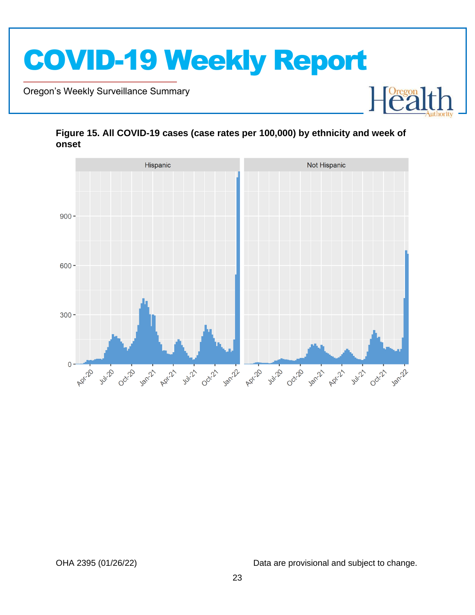

Oregon's Weekly Surveillance Summary

Novel Coronavirus (COVID-19)



#### **Figure 15. All COVID-19 cases (case rates per 100,000) by ethnicity and week of onset**

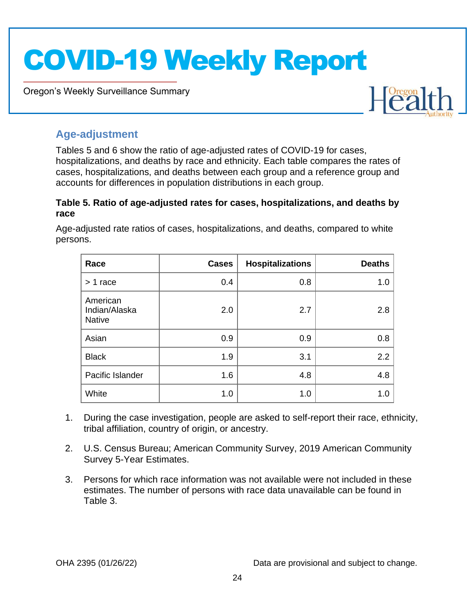Oregon's Weekly Surveillance Summary



#### **Age-adjustment**

Novel Coronavirus (COVID-19)

Tables 5 and 6 show the ratio of age-adjusted rates of COVID-19 for cases, hospitalizations, and deaths by race and ethnicity. Each table compares the rates of cases, hospitalizations, and deaths between each group and a reference group and accounts for differences in population distributions in each group.

#### **Table 5. Ratio of age-adjusted rates for cases, hospitalizations, and deaths by race**

Age-adjusted rate ratios of cases, hospitalizations, and deaths, compared to white persons.

| Race                                       | <b>Cases</b> | <b>Hospitalizations</b> | <b>Deaths</b> |
|--------------------------------------------|--------------|-------------------------|---------------|
| $> 1$ race                                 | 0.4          | 0.8                     | 1.0           |
| American<br>Indian/Alaska<br><b>Native</b> | 2.0          | 2.7                     | 2.8           |
| Asian                                      | 0.9          | 0.9                     | 0.8           |
| <b>Black</b>                               | 1.9          | 3.1                     | 2.2           |
| Pacific Islander                           | 1.6          | 4.8                     | 4.8           |
| White                                      | 1.0          | 1.0                     | 1.0           |

- 1. During the case investigation, people are asked to self-report their race, ethnicity, tribal affiliation, country of origin, or ancestry.
- 2. U.S. Census Bureau; American Community Survey, 2019 American Community Survey 5-Year Estimates.
- 3. Persons for which race information was not available were not included in these estimates. The number of persons with race data unavailable can be found in Table 3.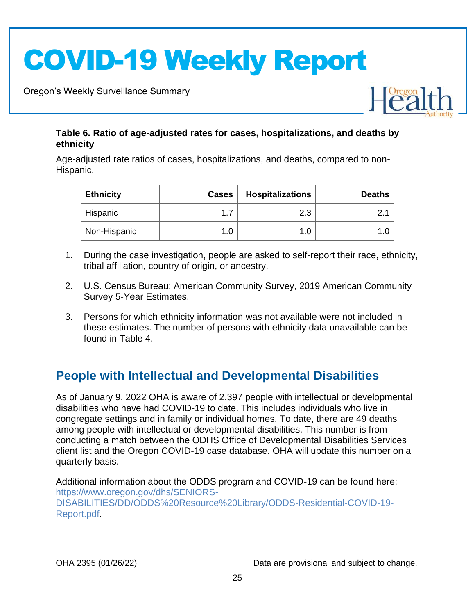Oregon's Weekly Surveillance Summary

Novel Coronavirus (COVID-19)



#### **Table 6. Ratio of age-adjusted rates for cases, hospitalizations, and deaths by ethnicity**

Age-adjusted rate ratios of cases, hospitalizations, and deaths, compared to non-Hispanic.

| <b>Ethnicity</b> | <b>Cases</b> | <b>Hospitalizations</b> | <b>Deaths</b> |
|------------------|--------------|-------------------------|---------------|
| Hispanic         |              | 2.3                     |               |
| Non-Hispanic     |              |                         | ı.c           |

- 1. During the case investigation, people are asked to self-report their race, ethnicity, tribal affiliation, country of origin, or ancestry.
- 2. U.S. Census Bureau; American Community Survey, 2019 American Community Survey 5-Year Estimates.
- 3. Persons for which ethnicity information was not available were not included in these estimates. The number of persons with ethnicity data unavailable can be found in Table 4.

### **People with Intellectual and Developmental Disabilities**

As of January 9, 2022 OHA is aware of 2,397 people with intellectual or developmental disabilities who have had COVID-19 to date. This includes individuals who live in congregate settings and in family or individual homes. To date, there are 49 deaths among people with intellectual or developmental disabilities. This number is from conducting a match between the ODHS Office of Developmental Disabilities Services client list and the Oregon COVID-19 case database. OHA will update this number on a quarterly basis.

Additional information about the ODDS program and COVID-19 can be found here: https://www.oregon.gov/dhs/SENIORS-DISABILITIES/DD/ODDS%20Resource%20Library/ODDS-Residential-COVID-19- Report.pdf.